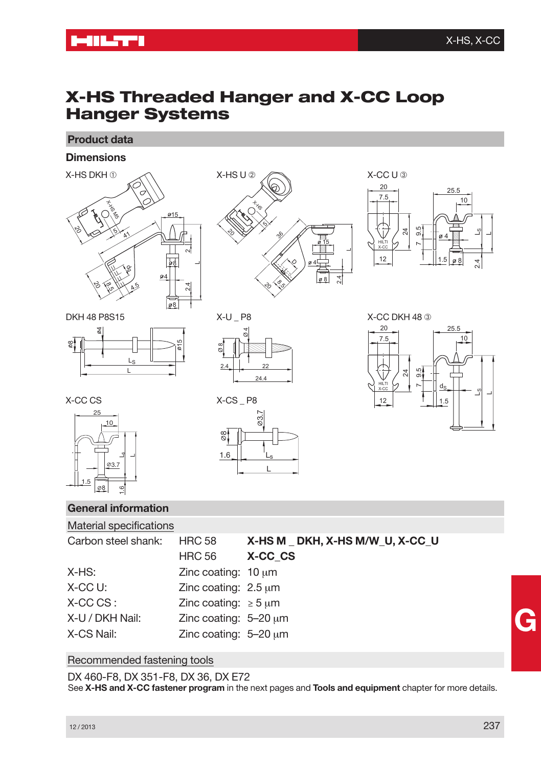# **X-HS Threaded Hanger and X-CC Loop Hanger Systems**

**Product data**

**Dimensions**







DKH 48 P8S15







X-CC CS



**General information** Material specifications X-CS P8 စ္စ 03.7  $1.6$ 

<u>L</u>



 $X-CC U:$  Zinc coating:  $2.5 \mu m$ X-CC CS : Zinc coating: *≥* 5 µm X-U / DKH Nail: Zinc coating: 5–20 µm X-CS Nail: Zinc coating: 5–20 µm

### Recommended fastening tools

DX 460-F8, DX 351-F8, DX 36, DX E72 See **X-HS and X-CC fastener program** in the next pages and **Tools and equipment** chapter for more details.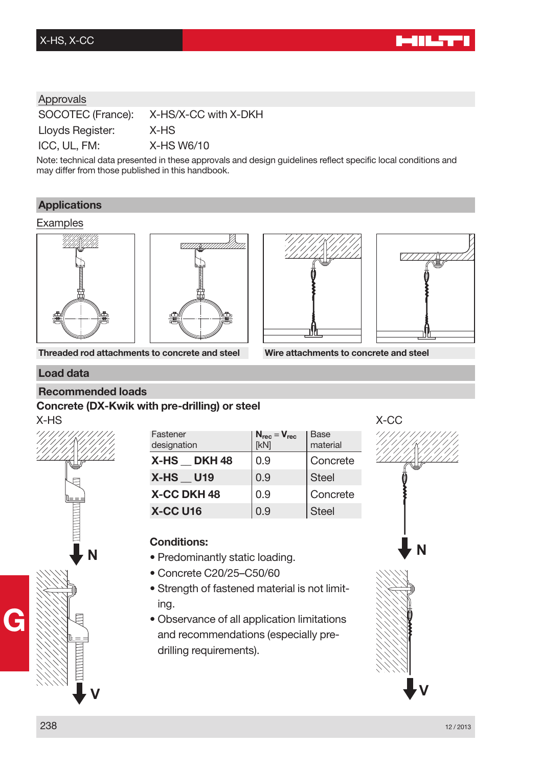## Approvals

SOCOTEC (France): X-HS/X-CC with X-DKH Lloyds Register: X-HS ICC, UL, FM: X-HS W6/10

Note: technical data presented in these approvals and design guidelines reflect specific local conditions and may differ from those published in this handbook.

### **Applications**

#### Examples







**Threaded rod attachments to concrete and steel Wire attachments to concrete and steel**

#### **Load data**

#### **Recommended loads**

### **Concrete (DX-Kwik with pre-drilling) or steel**



| Fastener<br>designation | $N_{rec} = V_{rec}$<br>[kN] | <b>Base</b><br>material |
|-------------------------|-----------------------------|-------------------------|
| X-HS DKH48              | 0.9                         | Concrete                |
| <b>X-HS U19</b>         | 0.9                         | <b>Steel</b>            |
| <b>X-CC DKH 48</b>      | 0.9                         | Concrete                |
| <b>X-CC U16</b>         | 0.9                         | <b>Steel</b>            |

## **Conditions:**

- Predominantly static loading.
- Concrete C20/25–C50/60
- Strength of fastened material is not limiting.
- Observance of all application limitations and recommendations (especially predrilling requirements).

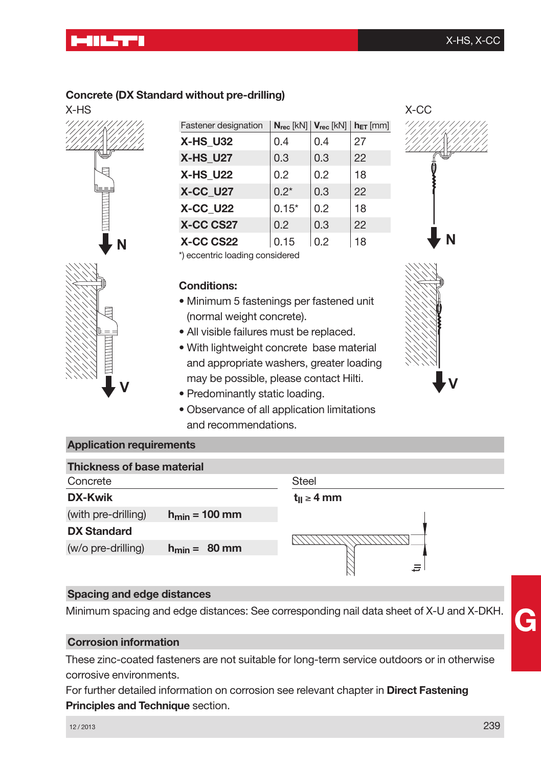# <u>Millian I</u>

## **Concrete (DX Standard without pre-drilling)**



| Fastener designation |         | $N_{rec}$ [kN] $V_{rec}$ [kN] | $h_{ET}$ [mm] |
|----------------------|---------|-------------------------------|---------------|
| <b>X-HS U32</b>      | 0.4     | 0.4                           | 27            |
| <b>X-HS U27</b>      | 0.3     | 0.3                           | 22            |
| <b>X-HS U22</b>      | 0.2     | 0.2                           | 18            |
| <b>X-CC_U27</b>      | $0.2*$  | 0.3                           | 22            |
| <b>X-CC U22</b>      | $0.15*$ | 0.2                           | 18            |
| X-CC CS27            | 0.2     | 0.3                           | 22            |
| X-CC CS22            | 0.15    | 0.2                           | 18            |

\*) eccentric loading considered

## **Conditions:**

- Minimum 5 fastenings per fastened unit (normal weight concrete).
- All visible failures must be replaced.
- With lightweight concrete base material and appropriate washers, greater loading may be possible, please contact Hilti.
- Predominantly static loading.
- Observance of all application limitations and recommendations.





## **Application requirements**

**V**

| <b>Thickness of base material</b> |                           |                    |
|-----------------------------------|---------------------------|--------------------|
| Concrete                          |                           | <b>Steel</b>       |
| DX-Kwik                           |                           | $t_{II} \geq 4$ mm |
| (with pre-drilling)               | $h_{\text{min}} = 100$ mm |                    |
| <b>DX Standard</b>                |                           |                    |
| (w/o pre-drilling)                | $h_{\text{min}} = 80$ mm  |                    |
|                                   |                           | Ξ                  |

### **Spacing and edge distances**

Minimum spacing and edge distances: See corresponding nail data sheet of X-U and X-DKH.

## **Corrosion information**

These zinc-coated fasteners are not suitable for long-term service outdoors or in otherwise corrosive environments.

For further detailed information on corrosion see relevant chapter in **Direct Fastening Principles and Technique** section.

<sup>12</sup> / <sup>2013</sup> 239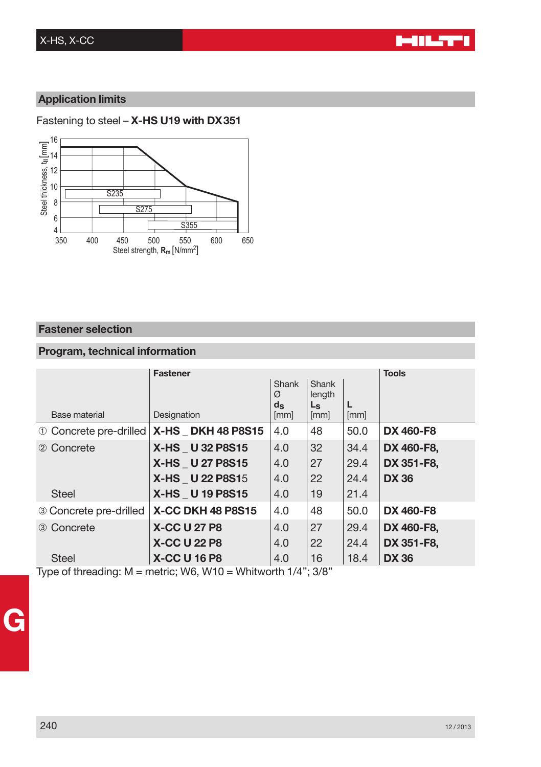## **Application limits**

### Fastening to steel – **X-HS U19 with DX351**



## **Fastener selection**

## **Program, technical information**

|                        | <b>Fastener</b>                               |                  |                 | <b>Tools</b> |                  |
|------------------------|-----------------------------------------------|------------------|-----------------|--------------|------------------|
|                        |                                               | Shank<br>Ø       | Shank<br>length |              |                  |
|                        |                                               | $d_{\mathbf{S}}$ | L <sub>s</sub>  |              |                  |
| Base material          | Designation                                   | [mm]             | [mm]            | [mm]         |                  |
|                        | 10 Concrete pre-drilled   X-HS _ DKH 48 P8S15 | 4.0              | 48              | 50.0         | <b>DX 460-F8</b> |
| 2 Concrete             | X-HS U 32 P8S15                               | 4.0              | 32              | 34.4         | DX 460-F8.       |
|                        | X-HS U 27 P8S15                               | 4.0              | 27              | 29.4         | DX 351-F8.       |
|                        | <b>X-HS U 22 P8S15</b>                        | 4.0              | 22              | 24.4         | <b>DX 36</b>     |
| <b>Steel</b>           | X-HS U 19 P8S15                               | 4.0              | 19              | 21.4         |                  |
| 3 Concrete pre-drilled | X-CC DKH 48 P8S15                             | 4.0              | 48              | 50.0         | <b>DX 460-F8</b> |
| 3 Concrete             | <b>X-CC U 27 P8</b>                           | 4.0              | 27              | 29.4         | DX 460-F8,       |
|                        | <b>X-CC U 22 P8</b>                           | 4.0              | 22              | 24.4         | DX 351-F8,       |
| <b>Steel</b>           | <b>X-CC U 16 P8</b>                           | 4.0              | 16              | 18.4         | <b>DX 36</b>     |

Type of threading:  $M =$  metric; W6, W10 = Whitworth 1/4"; 3/8"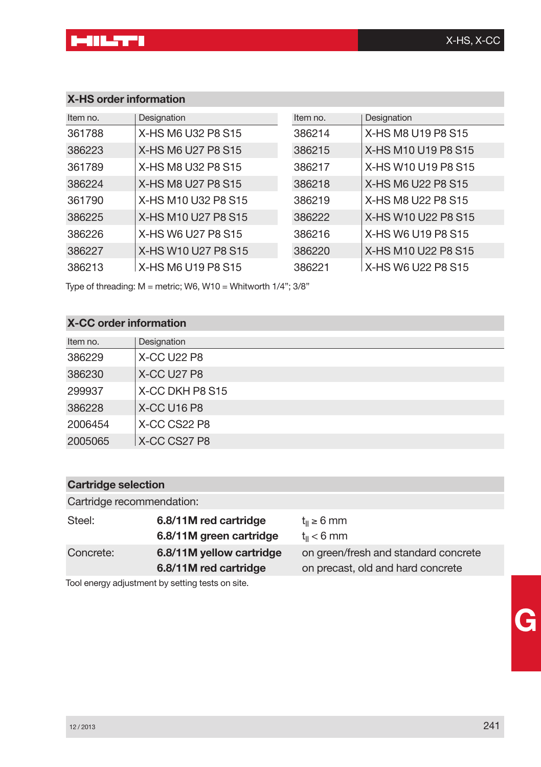# **X-HS order information**

| Item no. | Designation         | Item no. | Designation         |
|----------|---------------------|----------|---------------------|
| 361788   | X-HS M6 U32 P8 S15  | 386214   | X-HS M8 U19 P8 S15  |
| 386223   | X-HS M6 U27 P8 S15  | 386215   | X-HS M10 U19 P8 S15 |
| 361789   | X-HS M8 U32 P8 S15  | 386217   | X-HS W10 U19 P8 S15 |
| 386224   | X-HS M8 U27 P8 S15  | 386218   | X-HS M6 U22 P8 S15  |
| 361790   | X-HS M10 U32 P8 S15 | 386219   | X-HS M8 U22 P8 S15  |
| 386225   | X-HS M10 U27 P8 S15 | 386222   | X-HS W10 U22 P8 S15 |
| 386226   | X-HS W6 U27 P8 S15  | 386216   | X-HS W6 U19 P8 S15  |
| 386227   | X-HS W10 U27 P8 S15 | 386220   | X-HS M10 U22 P8 S15 |
| 386213   | X-HS M6 U19 P8 S15  | 386221   | X-HS W6 U22 P8 S15  |

Type of threading: M = metric; W6, W10 = Whitworth 1/4"; 3/8"

# **X-CC order information**

| Item no. | Designation     |
|----------|-----------------|
| 386229   | X-CC U22 P8     |
| 386230   | X-CC U27 P8     |
| 299937   | X-CC DKH P8 S15 |
| 386228   | X-CC U16 P8     |
| 2006454  | X-CC CS22 P8    |
| 2005065  | X-CC CS27 P8    |

## **Cartridge selection**

| Cartridge recommendation: |                                                  |                                                     |
|---------------------------|--------------------------------------------------|-----------------------------------------------------|
| Steel:                    | 6.8/11M red cartridge<br>6.8/11M green cartridge | $t_{\parallel} \geq 6$ mm<br>$t_{\parallel}$ < 6 mm |
| Concrete:                 | 6.8/11M yellow cartridge                         | on green/fresh and standard concrete                |
|                           | 6.8/11M red cartridge                            | on precast, old and hard concrete                   |
|                           |                                                  |                                                     |

Tool energy adjustment by setting tests on site.